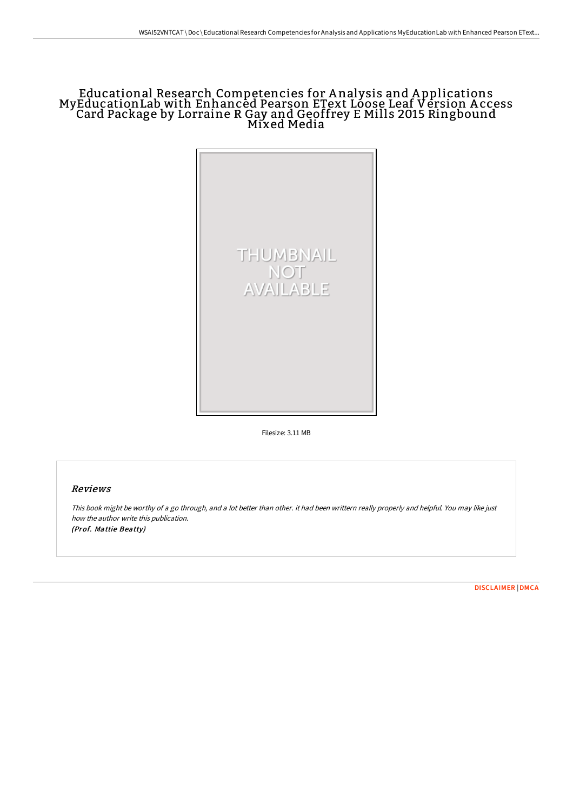## Educational Research Competencies for A nalysis and A pplications MyEducationLab with Enhanced Pearson EText Loose Leaf Version Access Card Package by Lorraine R Gay and Geoffrey E Mills 2015 Ringbound Mixed Media



Filesize: 3.11 MB

## Reviews

This book might be worthy of <sup>a</sup> go through, and <sup>a</sup> lot better than other. it had been writtern really properly and helpful. You may like just how the author write this publication. (Prof. Mattie Beatty)

[DISCLAIMER](http://digilib.live/disclaimer.html) | [DMCA](http://digilib.live/dmca.html)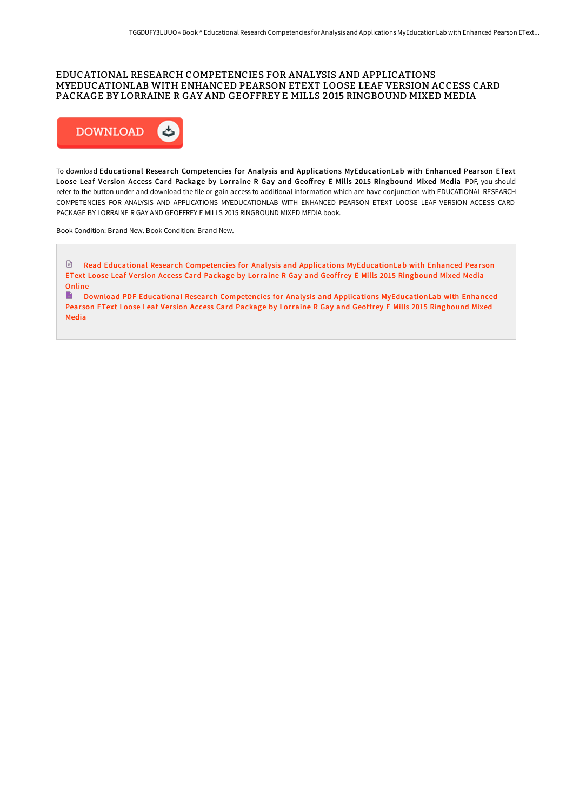## EDUCATIONAL RESEARCH COMPETENCIES FOR ANALYSIS AND APPLICATIONS MYEDUCATIONLAB WITH ENHANCED PEARSON ETEXT LOOSE LEAF VERSION ACCESS CARD PACKAGE BY LORRAINE R GAY AND GEOFFREY E MILLS 2015 RINGBOUND MIXED MEDIA



To download Educational Research Competencies for Analysis and Applications MyEducationLab with Enhanced Pearson EText Loose Leaf Version Access Card Package by Lorraine R Gay and Geoffrey E Mills 2015 Ringbound Mixed Media PDF, you should refer to the button under and download the file or gain access to additional information which are have conjunction with EDUCATIONAL RESEARCH COMPETENCIES FOR ANALYSIS AND APPLICATIONS MYEDUCATIONLAB WITH ENHANCED PEARSON ETEXT LOOSE LEAF VERSION ACCESS CARD PACKAGE BY LORRAINE R GAY AND GEOFFREY E MILLS 2015 RINGBOUND MIXED MEDIA book.

Book Condition: Brand New. Book Condition: Brand New.

 $\Box$  Read Educational Research Competencies for Analysis and Applications [MyEducationLab](http://digilib.live/educational-research-competencies-for-analysis-a-1.html) with Enhanced Pearson EText Loose Leaf Ver sion Access Card Package by Lorraine R Gay and Geoffrey E Mills 2015 Ringbound Mixed Media **Online** 

Download PDF Educational Research Competencies for Analysis and Applications [MyEducationLab](http://digilib.live/educational-research-competencies-for-analysis-a-1.html) with Enhanced Pearson EText Loose Leaf Version Access Card Package by Lorraine R Gay and Geoffrey E Mills 2015 Ringbound Mixed Media